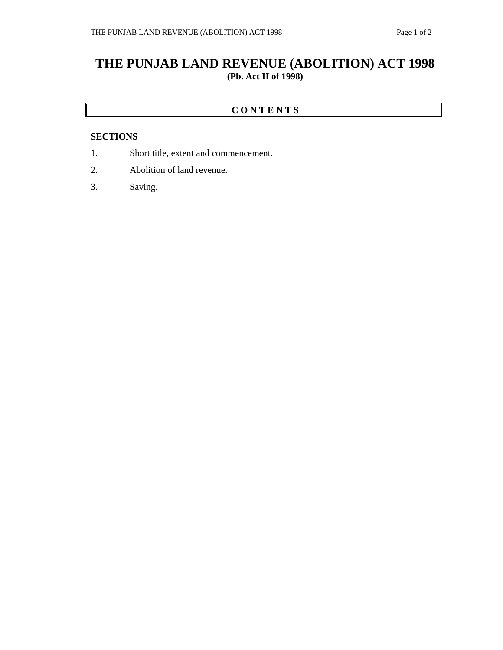## **THE PUNJAB LAND REVENUE (ABOLITION) ACT 1998 (Pb. Act II of 1998)**

## **C O N T E N T S**

## **SECTIONS**

- 1. Short title, extent and commencement.
- 2. Abolition of land revenue.
- 3. Saving.